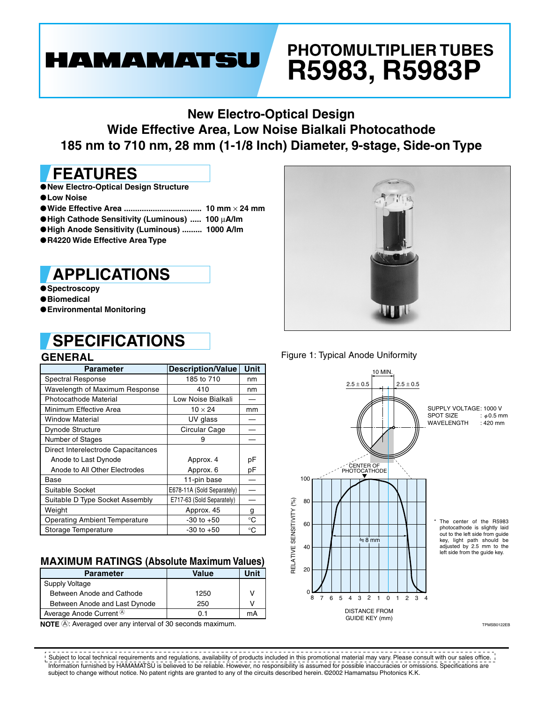# **HAMAMATSU**

# **PHOTOMULTIPLIER TUBES R5983, R5983P**

## **New Electro-Optical Design Wide Effective Area, Low Noise Bialkali Photocathode 185 nm to 710 nm, 28 mm (1-1/8 Inch) Diameter, 9-stage, Side-on Type**

## **FEATURES**

- ●**New Electro-Optical Design Structure**
- ●**Low Noise**
- ●**Wide Effective Area ................................... 10 mm** × **24 mm**
- ●**High Cathode Sensitivity (Luminous) ..... 100** µ**A/lm**
- ●**High Anode Sensitivity (Luminous) ......... 1000 A/lm**
- ●**R4220 Wide Effective Area Type**

## **APPLICATIONS**

●**Spectroscopy**

- ●**Biomedical**
- ●**Environmental Monitoring**

### **GENERAL SPECIFICATIONS**



#### Figure 1: Typical Anode Uniformity

| ucnchal                              |                            |             |  |  |  |  |  |  |  |  |
|--------------------------------------|----------------------------|-------------|--|--|--|--|--|--|--|--|
| <b>Parameter</b>                     | <b>Description/Value</b>   | <b>Unit</b> |  |  |  |  |  |  |  |  |
| Spectral Response                    | 185 to 710                 | nm          |  |  |  |  |  |  |  |  |
| Wavelength of Maximum Response       | 410                        | nm          |  |  |  |  |  |  |  |  |
| Photocathode Material                | Low Noise Bialkali         |             |  |  |  |  |  |  |  |  |
| Minimum Effective Area               | $10 \times 24$             | mm          |  |  |  |  |  |  |  |  |
| <b>Window Material</b>               | UV glass                   |             |  |  |  |  |  |  |  |  |
| Dynode Structure                     | Circular Cage              |             |  |  |  |  |  |  |  |  |
| <b>Number of Stages</b>              | 9                          |             |  |  |  |  |  |  |  |  |
| Direct Interelectrode Capacitances   |                            |             |  |  |  |  |  |  |  |  |
| Anode to Last Dynode                 | Approx. 4                  | рF          |  |  |  |  |  |  |  |  |
| Anode to All Other Electrodes        | Approx. 6                  | рF          |  |  |  |  |  |  |  |  |
| Base                                 | 11-pin base                |             |  |  |  |  |  |  |  |  |
| Suitable Socket                      | E678-11A (Sold Separately) |             |  |  |  |  |  |  |  |  |
| Suitable D Type Socket Assembly      | E717-63 (Sold Separately)  |             |  |  |  |  |  |  |  |  |
| Weight                               | Approx. 45                 | g           |  |  |  |  |  |  |  |  |
| <b>Operating Ambient Temperature</b> | $-30$ to $+50$             | °C          |  |  |  |  |  |  |  |  |
| Storage Temperature                  | $-30$ to $+50$             | °C          |  |  |  |  |  |  |  |  |

### **MAXIMUM RATINGS (Absolute Maximum Values)**

| <b>Parameter</b>                              | Value | Unit |  |  |
|-----------------------------------------------|-------|------|--|--|
| <b>Supply Voltage</b>                         |       |      |  |  |
| Between Anode and Cathode                     | 1250  | V    |  |  |
| Between Anode and Last Dynode                 | 250   |      |  |  |
| Average Anode Current <sup><sup>®</sup></sup> | ი 1   | mA   |  |  |

**NOTE**  $\textcircled{4}$ : Averaged over any interval of 30 seconds maximum.



TPMSB0122EB

Information furnished by HAMAMATSU is believed to be reliable. However, no responsibility is assumed for possible inaccuracies or omissions. Specifications are subject to change without notice. No patent rights are granted to any of the circuits described herein. ©2002 Hamamatsu Photonics K.K. Subject to local technical requirements and regulations, availability of products included in this promotional material may vary. Please consult with our sales office.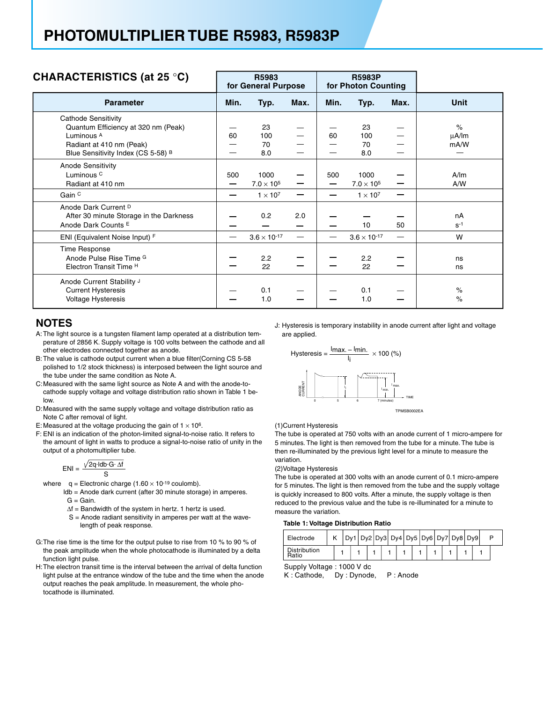| CHARACTERISTICS (at 25 °C)                                                                                                                                       |      | R5983<br>for General Purpose                 |        |      | <b>R5983P</b><br>for Photon Counting         |      |                            |
|------------------------------------------------------------------------------------------------------------------------------------------------------------------|------|----------------------------------------------|--------|------|----------------------------------------------|------|----------------------------|
| <b>Parameter</b>                                                                                                                                                 | Min. | Typ.                                         | Max.   | Min. | Typ.                                         | Max. | <b>Unit</b>                |
| Cathode Sensitivity<br>Quantum Efficiency at 320 nm (Peak)<br>Luminous <sup>A</sup><br>Radiant at 410 nm (Peak)<br>Blue Sensitivity Index (CS 5-58) <sup>B</sup> | 60   | 23<br>100<br>70<br>8.0                       |        | 60   | 23<br>100<br>70<br>8.0                       |      | $\%$<br>$\mu$ A/Im<br>mA/W |
| <b>Anode Sensitivity</b><br>Luminous <sup>C</sup><br>Radiant at 410 nm<br>Gain <sup>C</sup>                                                                      | 500  | 1000<br>$7.0 \times 10^5$<br>$1 \times 10^7$ | —<br>— | 500  | 1000<br>$7.0 \times 10^5$<br>$1 \times 10^7$ |      | A/m<br>A/W                 |
| Anode Dark Current D<br>After 30 minute Storage in the Darkness<br>Anode Dark Counts E                                                                           |      | 0.2                                          | 2.0    |      | 10                                           | 50   | nA<br>$S-1$                |
| ENI (Equivalent Noise Input) F                                                                                                                                   |      | $3.6 \times 10^{-17}$                        |        |      | $3.6 \times 10^{-17}$                        | —    | W                          |
| Time Response<br>Anode Pulse Rise Time G<br>Electron Transit Time <sup>H</sup>                                                                                   |      | 2.2<br>22                                    |        |      | 2.2<br>22                                    |      | ns<br>ns                   |
| Anode Current Stability J<br><b>Current Hysteresis</b><br><b>Voltage Hysteresis</b>                                                                              |      | 0.1<br>1.0                                   |        |      | 0.1<br>1.0                                   |      | $\%$<br>$\%$               |

#### **NOTES**

- A: The light source is a tungsten filament lamp operated at a distribution temperature of 2856 K. Supply voltage is 100 volts between the cathode and all other electrodes connected together as anode.
- B: The value is cathode output current when a blue filter(Corning CS 5-58 polished to 1/2 stock thickness) is interposed between the light source and the tube under the same condition as Note A.
- C: Measured with the same light source as Note A and with the anode-tocathode supply voltage and voltage distribution ratio shown in Table 1 below.
- D: Measured with the same supply voltage and voltage distribution ratio as Note C after removal of light.
- E: Measured at the voltage producing the gain of  $1 \times 10^6$ .
- F: ENI is an indication of the photon-limited signal-to-noise ratio. It refers to the amount of light in watts to produce a signal-to-noise ratio of unity in the output of a photomultiplier tube.

$$
ENI = \frac{\sqrt{2q \cdot Idb \cdot G \cdot \Delta f}}{S}
$$

- where  $q =$  Electronic charge (1.60  $\times$  10<sup>-19</sup> coulomb).
	- ldb = Anode dark current (after 30 minute storage) in amperes.  $G =$ Gain.
		- ∆f = Bandwidth of the system in hertz. 1 hertz is used.
		- S = Anode radiant sensitivity in amperes per watt at the wave length of peak response.
- G: The rise time is the time for the output pulse to rise from 10 % to 90 % of the peak amplitude when the whole photocathode is illuminated by a delta function light pulse.
- H: The electron transit time is the interval between the arrival of delta function light pulse at the entrance window of the tube and the time when the anode output reaches the peak amplitude. In measurement, the whole photocathode is illuminated.

J: Hysteresis is temporary instability in anode current after light and voltage are applied.



(1)Current Hysteresis

The tube is operated at 750 volts with an anode current of 1 micro-ampere for 5 minutes. The light is then removed from the tube for a minute. The tube is then re-illuminated by the previous light level for a minute to measure the variation.

#### (2)Voltage Hysteresis

The tube is operated at 300 volts with an anode current of 0.1 micro-ampere for 5 minutes. The light is then removed from the tube and the supply voltage is quickly increased to 800 volts. After a minute, the supply voltage is then reduced to the previous value and the tube is re-illuminated for a minute to measure the variation.

#### **Table 1: Voltage Distribution Ratio**

| Electrode             |  |  |  |  |  | Dy1 Dy2 Dy3 Dy4 Dy5 Dy6 Dy7 Dy8 Dy9 |  |  |  |  |
|-----------------------|--|--|--|--|--|-------------------------------------|--|--|--|--|
| Distribution<br>Ratio |  |  |  |  |  |                                     |  |  |  |  |

SuppIy Voltage : 1000 V dc

K : Cathode, Dy : Dynode, P : Anode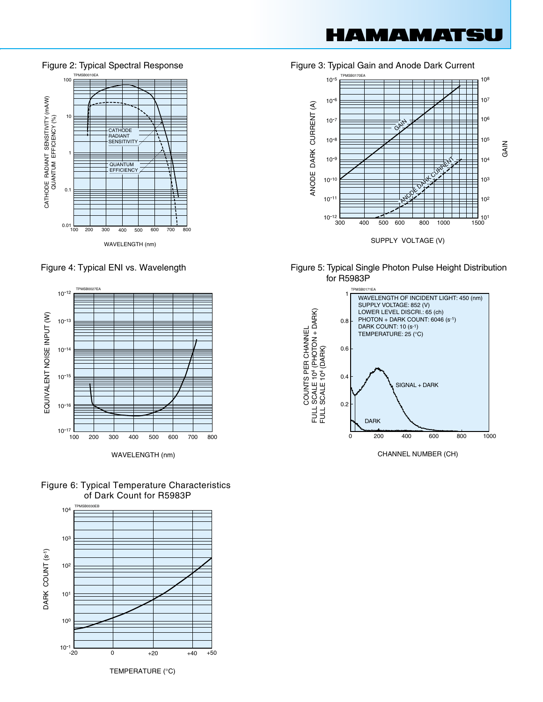IAMAMATS

















CHANNEL NUMBER (CH)